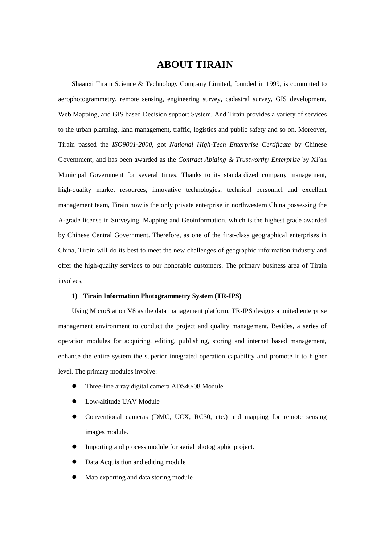# **ABOUT TIRAIN**

Shaanxi Tirain Science & Technology Company Limited, founded in 1999, is committed to aerophotogrammetry, remote sensing, engineering survey, cadastral survey, GIS development, Web Mapping, and GIS based Decision support System. And Tirain provides a variety of services to the urban planning, land management, traffic, logistics and public safety and so on. Moreover, Tirain passed the *ISO9001-2000*, got *National High-Tech Enterprise Certificate* by Chinese Government, and has been awarded as the *Contract Abiding & Trustworthy Enterprise* by Xi'an Municipal Government for several times. Thanks to its standardized company management, high-quality market resources, innovative technologies, technical personnel and excellent management team, Tirain now is the only private enterprise in northwestern China possessing the A-grade license in Surveying, Mapping and Geoinformation, which is the highest grade awarded by Chinese Central Government. Therefore, as one of the first-class geographical enterprises in China, Tirain will do its best to meet the new challenges of geographic information industry and offer the high-quality services to our honorable customers. The primary business area of Tirain involves,

## **1) Tirain Information Photogrammetry System (TR-IPS)**

Using MicroStation V8 as the data management platform, TR-IPS designs a united enterprise management environment to conduct the project and quality management. Besides, a series of operation modules for acquiring, editing, publishing, storing and internet based management, enhance the entire system the superior integrated operation capability and promote it to higher level. The primary modules involve:

- Three-line array digital camera ADS40/08 Module
- Low-altitude UAV Module
- Conventional cameras (DMC, UCX, RC30, etc.) and mapping for remote sensing images module.
- Importing and process module for aerial photographic project.
- Data Acquisition and editing module
- Map exporting and data storing module